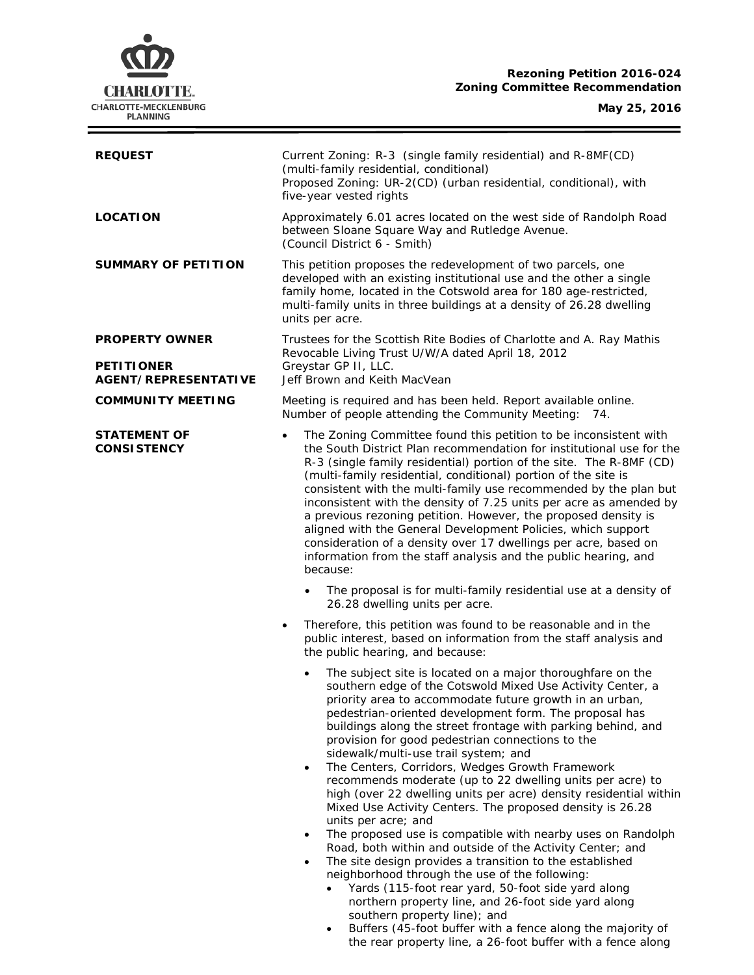# **Rezoning Petition 2016-024 Zoning Committee Recommendation**



| <b>REQUEST</b>                                   | Current Zoning: R-3 (single family residential) and R-8MF(CD)<br>(multi-family residential, conditional)<br>Proposed Zoning: UR-2(CD) (urban residential, conditional), with<br>five-year vested rights                                                                                                                                                                                                                                                                                                                                                                                                                                                                                                                                                                                                                                                                                                                                                                                                                                                                                                          |  |
|--------------------------------------------------|------------------------------------------------------------------------------------------------------------------------------------------------------------------------------------------------------------------------------------------------------------------------------------------------------------------------------------------------------------------------------------------------------------------------------------------------------------------------------------------------------------------------------------------------------------------------------------------------------------------------------------------------------------------------------------------------------------------------------------------------------------------------------------------------------------------------------------------------------------------------------------------------------------------------------------------------------------------------------------------------------------------------------------------------------------------------------------------------------------------|--|
| <b>LOCATION</b>                                  | Approximately 6.01 acres located on the west side of Randolph Road<br>between Sloane Square Way and Rutledge Avenue.<br>(Council District 6 - Smith)                                                                                                                                                                                                                                                                                                                                                                                                                                                                                                                                                                                                                                                                                                                                                                                                                                                                                                                                                             |  |
| <b>SUMMARY OF PETITION</b>                       | This petition proposes the redevelopment of two parcels, one<br>developed with an existing institutional use and the other a single<br>family home, located in the Cotswold area for 180 age-restricted,<br>multi-family units in three buildings at a density of 26.28 dwelling<br>units per acre.                                                                                                                                                                                                                                                                                                                                                                                                                                                                                                                                                                                                                                                                                                                                                                                                              |  |
| <b>PROPERTY OWNER</b>                            | Trustees for the Scottish Rite Bodies of Charlotte and A. Ray Mathis<br>Revocable Living Trust U/W/A dated April 18, 2012                                                                                                                                                                                                                                                                                                                                                                                                                                                                                                                                                                                                                                                                                                                                                                                                                                                                                                                                                                                        |  |
| <b>PETITIONER</b><br><b>AGENT/REPRESENTATIVE</b> | Greystar GP II, LLC.<br>Jeff Brown and Keith MacVean                                                                                                                                                                                                                                                                                                                                                                                                                                                                                                                                                                                                                                                                                                                                                                                                                                                                                                                                                                                                                                                             |  |
| <b>COMMUNITY MEETING</b>                         | Meeting is required and has been held. Report available online.<br>Number of people attending the Community Meeting: 74.                                                                                                                                                                                                                                                                                                                                                                                                                                                                                                                                                                                                                                                                                                                                                                                                                                                                                                                                                                                         |  |
| <b>STATEMENT OF</b><br><b>CONSISTENCY</b>        | The Zoning Committee found this petition to be inconsistent with<br>$\bullet$<br>the South District Plan recommendation for institutional use for the<br>R-3 (single family residential) portion of the site. The R-8MF (CD)<br>(multi-family residential, conditional) portion of the site is<br>consistent with the multi-family use recommended by the plan but<br>inconsistent with the density of 7.25 units per acre as amended by<br>a previous rezoning petition. However, the proposed density is<br>aligned with the General Development Policies, which support<br>consideration of a density over 17 dwellings per acre, based on<br>information from the staff analysis and the public hearing, and<br>because:                                                                                                                                                                                                                                                                                                                                                                                     |  |
|                                                  | The proposal is for multi-family residential use at a density of<br>26.28 dwelling units per acre.                                                                                                                                                                                                                                                                                                                                                                                                                                                                                                                                                                                                                                                                                                                                                                                                                                                                                                                                                                                                               |  |
|                                                  | Therefore, this petition was found to be reasonable and in the<br>$\bullet$<br>public interest, based on information from the staff analysis and<br>the public hearing, and because:                                                                                                                                                                                                                                                                                                                                                                                                                                                                                                                                                                                                                                                                                                                                                                                                                                                                                                                             |  |
|                                                  | The subject site is located on a major thoroughfare on the<br>southern edge of the Cotswold Mixed Use Activity Center, a<br>priority area to accommodate future growth in an urban,<br>pedestrian-oriented development form. The proposal has<br>buildings along the street frontage with parking behind, and<br>provision for good pedestrian connections to the<br>sidewalk/multi-use trail system; and<br>The Centers, Corridors, Wedges Growth Framework<br>$\bullet$<br>recommends moderate (up to 22 dwelling units per acre) to<br>high (over 22 dwelling units per acre) density residential within<br>Mixed Use Activity Centers. The proposed density is 26.28<br>units per acre; and<br>The proposed use is compatible with nearby uses on Randolph<br>$\bullet$<br>Road, both within and outside of the Activity Center; and<br>The site design provides a transition to the established<br>$\bullet$<br>neighborhood through the use of the following:<br>Yards (115-foot rear yard, 50-foot side yard along<br>northern property line, and 26-foot side yard along<br>southern property line); and |  |

• Buffers (45-foot buffer with a fence along the majority of the rear property line, a 26-foot buffer with a fence along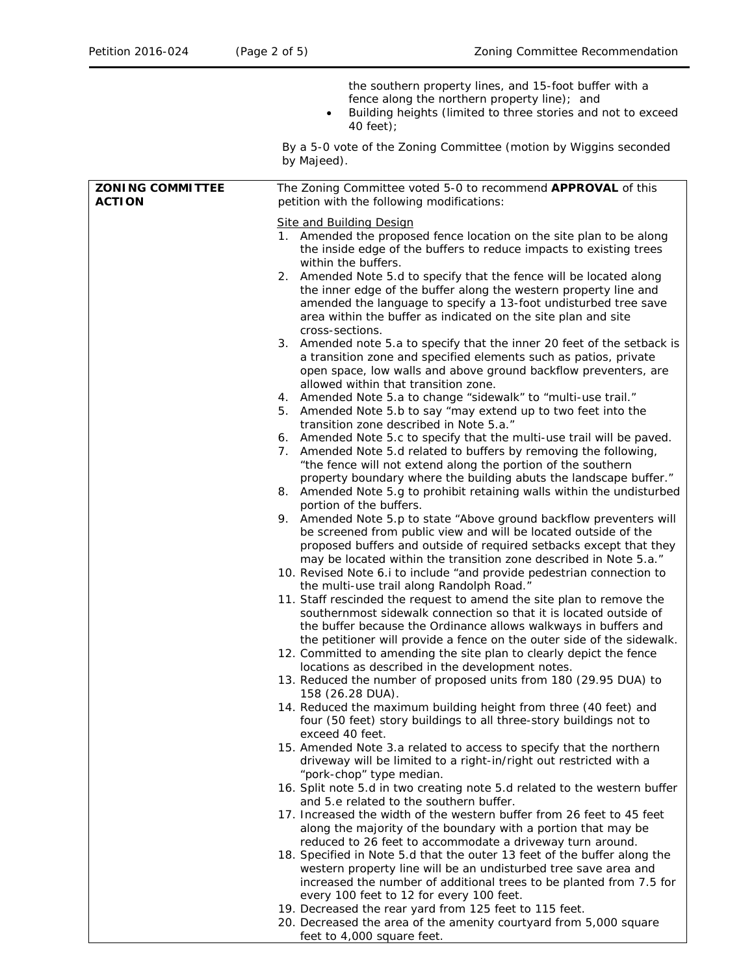|                                          | the southern property lines, and 15-foot buffer with a<br>fence along the northern property line); and<br>Building heights (limited to three stories and not to exceed<br>40 feet);                                                                                                            |
|------------------------------------------|------------------------------------------------------------------------------------------------------------------------------------------------------------------------------------------------------------------------------------------------------------------------------------------------|
|                                          | By a 5-0 vote of the Zoning Committee (motion by Wiggins seconded<br>by Majeed).                                                                                                                                                                                                               |
| <b>ZONING COMMITTEE</b><br><b>ACTION</b> | The Zoning Committee voted 5-0 to recommend APPROVAL of this<br>petition with the following modifications:                                                                                                                                                                                     |
|                                          | <b>Site and Building Design</b><br>1. Amended the proposed fence location on the site plan to be along<br>the inside edge of the buffers to reduce impacts to existing trees<br>within the buffers.                                                                                            |
|                                          | 2. Amended Note 5.d to specify that the fence will be located along<br>the inner edge of the buffer along the western property line and<br>amended the language to specify a 13-foot undisturbed tree save<br>area within the buffer as indicated on the site plan and site<br>cross-sections. |
|                                          | 3. Amended note 5.a to specify that the inner 20 feet of the setback is<br>a transition zone and specified elements such as patios, private<br>open space, low walls and above ground backflow preventers, are<br>allowed within that transition zone.                                         |
|                                          | 4. Amended Note 5.a to change "sidewalk" to "multi-use trail."<br>5. Amended Note 5.b to say "may extend up to two feet into the<br>transition zone described in Note 5.a."                                                                                                                    |
|                                          | 6. Amended Note 5.c to specify that the multi-use trail will be paved.<br>7. Amended Note 5.d related to buffers by removing the following,<br>"the fence will not extend along the portion of the southern<br>property boundary where the building abuts the landscape buffer."               |
|                                          | 8. Amended Note 5.g to prohibit retaining walls within the undisturbed<br>portion of the buffers.                                                                                                                                                                                              |
|                                          | Amended Note 5.p to state "Above ground backflow preventers will<br>9.<br>be screened from public view and will be located outside of the<br>proposed buffers and outside of required setbacks except that they<br>may be located within the transition zone described in Note 5.a."           |
|                                          | 10. Revised Note 6.i to include "and provide pedestrian connection to<br>the multi-use trail along Randolph Road."                                                                                                                                                                             |
|                                          | 11. Staff rescinded the request to amend the site plan to remove the<br>southernmost sidewalk connection so that it is located outside of<br>the buffer because the Ordinance allows walkways in buffers and<br>the petitioner will provide a fence on the outer side of the sidewalk.         |
|                                          | 12. Committed to amending the site plan to clearly depict the fence<br>locations as described in the development notes.                                                                                                                                                                        |
|                                          | 13. Reduced the number of proposed units from 180 (29.95 DUA) to<br>158 (26.28 DUA).                                                                                                                                                                                                           |
|                                          | 14. Reduced the maximum building height from three (40 feet) and<br>four (50 feet) story buildings to all three-story buildings not to<br>exceed 40 feet.                                                                                                                                      |
|                                          | 15. Amended Note 3.a related to access to specify that the northern<br>driveway will be limited to a right-in/right out restricted with a<br>"pork-chop" type median.                                                                                                                          |
|                                          | 16. Split note 5.d in two creating note 5.d related to the western buffer<br>and 5.e related to the southern buffer.                                                                                                                                                                           |
|                                          | 17. Increased the width of the western buffer from 26 feet to 45 feet<br>along the majority of the boundary with a portion that may be                                                                                                                                                         |
|                                          | reduced to 26 feet to accommodate a driveway turn around.<br>18. Specified in Note 5.d that the outer 13 feet of the buffer along the<br>western property line will be an undisturbed tree save area and<br>increased the number of additional trees to be planted from 7.5 for                |
|                                          | every 100 feet to 12 for every 100 feet.<br>19. Decreased the rear yard from 125 feet to 115 feet.                                                                                                                                                                                             |
|                                          | 20. Decreased the area of the amenity courtyard from 5,000 square<br>feet to 4,000 square feet.                                                                                                                                                                                                |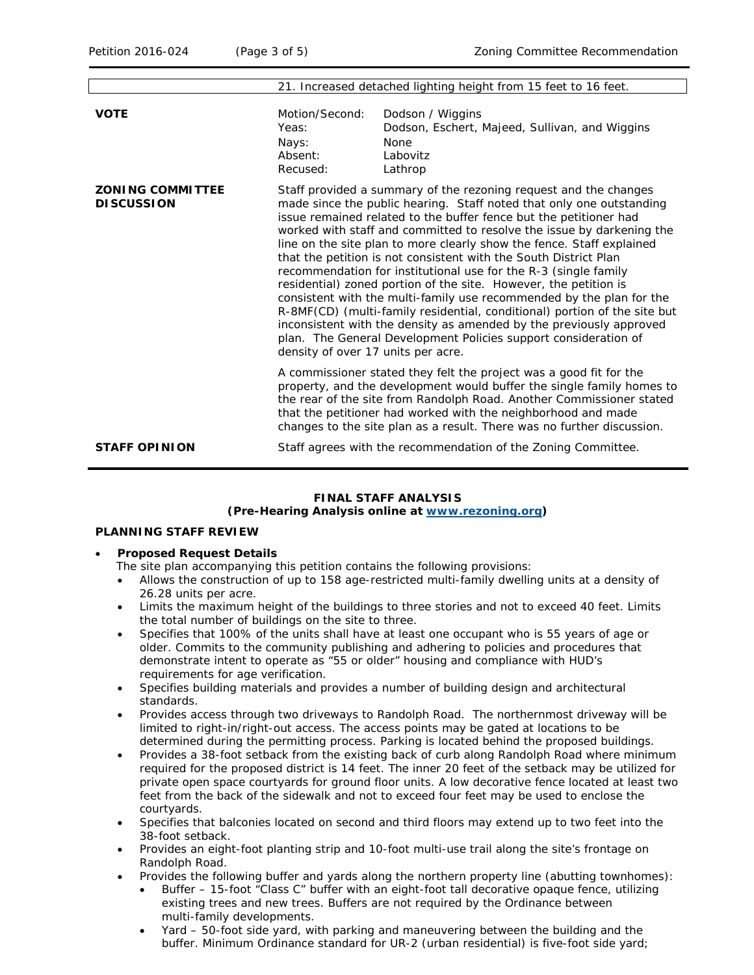|                                              | 21. Increased detached lighting height from 15 feet to 16 feet.                                                                                                                                                                                                                                                                                                                                                                                                                                                                                                                                                                                                                                                                                                                                                                                                                                                 |                                                                                                          |  |
|----------------------------------------------|-----------------------------------------------------------------------------------------------------------------------------------------------------------------------------------------------------------------------------------------------------------------------------------------------------------------------------------------------------------------------------------------------------------------------------------------------------------------------------------------------------------------------------------------------------------------------------------------------------------------------------------------------------------------------------------------------------------------------------------------------------------------------------------------------------------------------------------------------------------------------------------------------------------------|----------------------------------------------------------------------------------------------------------|--|
| <b>VOTE</b>                                  | Motion/Second:<br>Yeas:<br>Nays:<br>Absent:<br>Recused:                                                                                                                                                                                                                                                                                                                                                                                                                                                                                                                                                                                                                                                                                                                                                                                                                                                         | Dodson / Wiggins<br>Dodson, Eschert, Majeed, Sullivan, and Wiggins<br><b>None</b><br>Labovitz<br>Lathrop |  |
| <b>ZONING COMMITTEE</b><br><b>DISCUSSION</b> | Staff provided a summary of the rezoning request and the changes<br>made since the public hearing. Staff noted that only one outstanding<br>issue remained related to the buffer fence but the petitioner had<br>worked with staff and committed to resolve the issue by darkening the<br>line on the site plan to more clearly show the fence. Staff explained<br>that the petition is not consistent with the South District Plan<br>recommendation for institutional use for the R-3 (single family<br>residential) zoned portion of the site. However, the petition is<br>consistent with the multi-family use recommended by the plan for the<br>R-8MF(CD) (multi-family residential, conditional) portion of the site but<br>inconsistent with the density as amended by the previously approved<br>plan. The General Development Policies support consideration of<br>density of over 17 units per acre. |                                                                                                          |  |
|                                              | A commissioner stated they felt the project was a good fit for the<br>property, and the development would buffer the single family homes to<br>the rear of the site from Randolph Road. Another Commissioner stated<br>that the petitioner had worked with the neighborhood and made<br>changes to the site plan as a result. There was no further discussion.                                                                                                                                                                                                                                                                                                                                                                                                                                                                                                                                                  |                                                                                                          |  |
| <b>STAFF OPINION</b>                         |                                                                                                                                                                                                                                                                                                                                                                                                                                                                                                                                                                                                                                                                                                                                                                                                                                                                                                                 | Staff agrees with the recommendation of the Zoning Committee.                                            |  |

#### **FINAL STAFF ANALYSIS**

## **(Pre-Hearing Analysis online at [www.rezoning.org\)](http://www.rezoning.org/)**

### **PLANNING STAFF REVIEW**

- **Proposed Request Details**
	- The site plan accompanying this petition contains the following provisions:
	- Allows the construction of up to 158 age-restricted multi-family dwelling units at a density of 26.28 units per acre.
	- Limits the maximum height of the buildings to three stories and not to exceed 40 feet. Limits the total number of buildings on the site to three.
	- Specifies that 100% of the units shall have at least one occupant who is 55 years of age or older. Commits to the community publishing and adhering to policies and procedures that demonstrate intent to operate as "55 or older" housing and compliance with HUD's requirements for age verification.
	- Specifies building materials and provides a number of building design and architectural standards.
	- Provides access through two driveways to Randolph Road. The northernmost driveway will be limited to right-in/right-out access. The access points may be gated at locations to be determined during the permitting process. Parking is located behind the proposed buildings.
	- Provides a 38-foot setback from the existing back of curb along Randolph Road where minimum required for the proposed district is 14 feet. The inner 20 feet of the setback may be utilized for private open space courtyards for ground floor units. A low decorative fence located at least two feet from the back of the sidewalk and not to exceed four feet may be used to enclose the courtyards.
	- Specifies that balconies located on second and third floors may extend up to two feet into the 38-foot setback.
	- Provides an eight-foot planting strip and 10-foot multi-use trail along the site's frontage on Randolph Road.
	- Provides the following buffer and yards along the northern property line (abutting townhomes):
		- Buffer 15-foot "Class C" buffer with an eight-foot tall decorative opaque fence, utilizing existing trees and new trees. Buffers are not required by the Ordinance between multi-family developments.
		- Yard 50-foot side yard, with parking and maneuvering between the building and the buffer. Minimum Ordinance standard for UR-2 (urban residential) is five-foot side yard;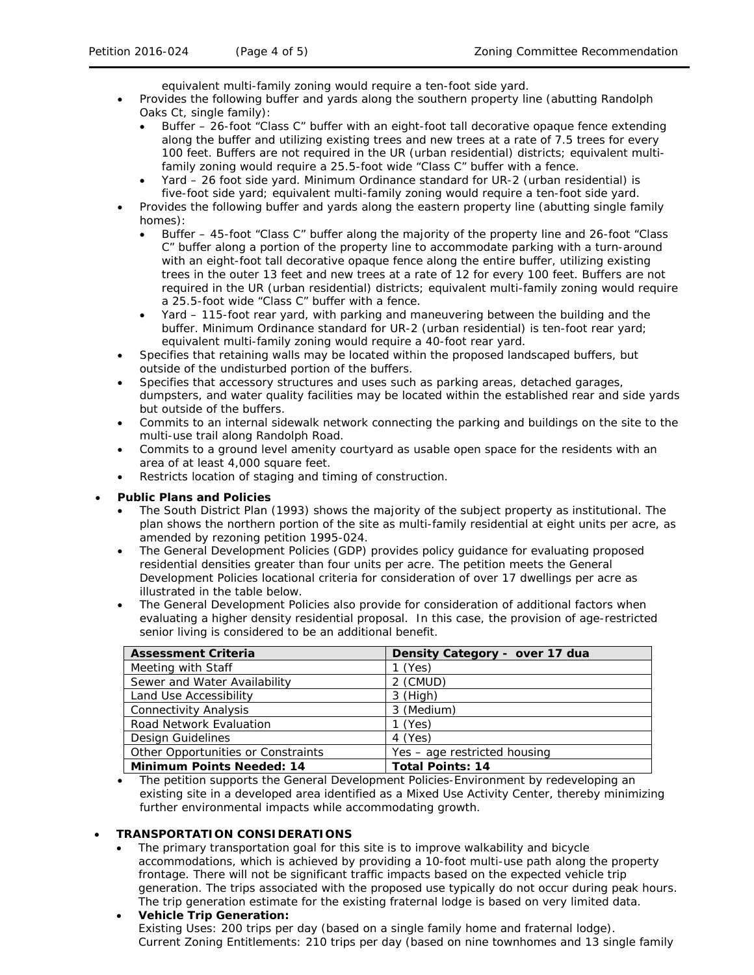equivalent multi-family zoning would require a ten-foot side yard.

- Provides the following buffer and yards along the southern property line (abutting Randolph Oaks Ct, single family):
	- Buffer 26-foot "Class C" buffer with an eight-foot tall decorative opaque fence extending along the buffer and utilizing existing trees and new trees at a rate of 7.5 trees for every 100 feet. Buffers are not required in the UR (urban residential) districts; equivalent multifamily zoning would require a 25.5-foot wide "Class C" buffer with a fence.
	- Yard 26 foot side yard. Minimum Ordinance standard for UR-2 (urban residential) is five-foot side yard; equivalent multi-family zoning would require a ten-foot side yard.
- Provides the following buffer and yards along the eastern property line (abutting single family homes):
	- Buffer 45-foot "Class C" buffer along the majority of the property line and 26-foot "Class C" buffer along a portion of the property line to accommodate parking with a turn-around with an eight-foot tall decorative opaque fence along the entire buffer, utilizing existing trees in the outer 13 feet and new trees at a rate of 12 for every 100 feet. Buffers are not required in the UR (urban residential) districts; equivalent multi-family zoning would require a 25.5-foot wide "Class C" buffer with a fence.
	- Yard 115-foot rear yard, with parking and maneuvering between the building and the buffer. Minimum Ordinance standard for UR-2 (urban residential) is ten-foot rear yard; equivalent multi-family zoning would require a 40-foot rear yard.
- Specifies that retaining walls may be located within the proposed landscaped buffers, but outside of the undisturbed portion of the buffers.
- Specifies that accessory structures and uses such as parking areas, detached garages, dumpsters, and water quality facilities may be located within the established rear and side yards but outside of the buffers.
- Commits to an internal sidewalk network connecting the parking and buildings on the site to the multi-use trail along Randolph Road.
- Commits to a ground level amenity courtyard as usable open space for the residents with an area of at least 4,000 square feet.
- Restricts location of staging and timing of construction.

## • **Public Plans and Policies**

- The *South District Plan* (1993) shows the majority of the subject property as institutional. The plan shows the northern portion of the site as multi-family residential at eight units per acre, as amended by rezoning petition 1995-024.
- The *General Development Policies* (GDP) provides policy guidance for evaluating proposed residential densities greater than four units per acre. The petition meets the *General Development Policies* locational criteria for consideration of over 17 dwellings per acre as illustrated in the table below.
- The *General Development Policies* also provide for consideration of additional factors when evaluating a higher density residential proposal. In this case, the provision of age-restricted senior living is considered to be an additional benefit.

| <b>Assessment Criteria</b>         | Density Category - over 17 dua |
|------------------------------------|--------------------------------|
| Meeting with Staff                 | $1$ (Yes)                      |
| Sewer and Water Availability       | 2 (CMUD)                       |
| Land Use Accessibility             | $3$ (High)                     |
| <b>Connectivity Analysis</b>       | 3 (Medium)                     |
| Road Network Evaluation            | $1$ (Yes)                      |
| Design Guidelines                  | 4 (Yes)                        |
| Other Opportunities or Constraints | Yes - age restricted housing   |
| <b>Minimum Points Needed: 14</b>   | <b>Total Points: 14</b>        |

• The petition supports the *General Development Policies-Environment* by redeveloping an existing site in a developed area identified as a Mixed Use Activity Center, thereby minimizing further environmental impacts while accommodating growth.

#### • **TRANSPORTATION CONSIDERATIONS**

• The primary transportation goal for this site is to improve walkability and bicycle accommodations, which is achieved by providing a 10-foot multi-use path along the property frontage. There will not be significant traffic impacts based on the expected vehicle trip generation. The trips associated with the proposed use typically do not occur during peak hours. The trip generation estimate for the existing fraternal lodge is based on very limited data.

• **Vehicle Trip Generation:** Existing Uses: 200 trips per day (based on a single family home and fraternal lodge). Current Zoning Entitlements: 210 trips per day (based on nine townhomes and 13 single family